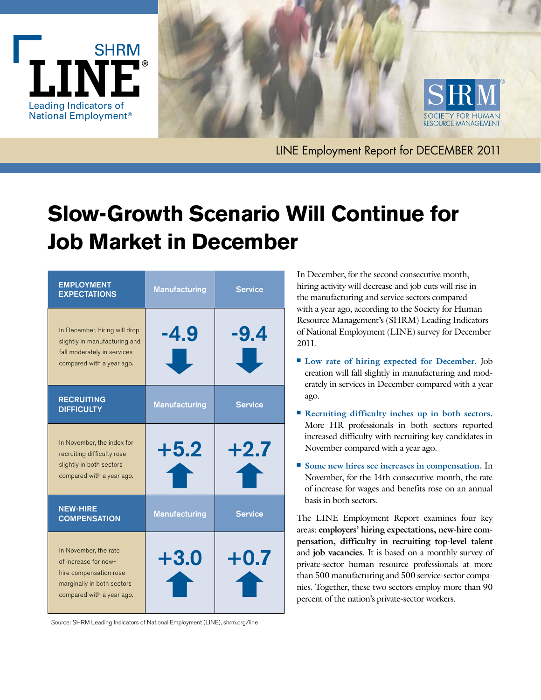



LINE Employment Report for DECEMBER 2011

# **Slow-Growth Scenario Will Continue for Job Market in December**

| <b>EMPLOYMENT</b><br><b>EXPECTATIONS</b>                                                                                           | <b>Manufacturing</b> | <b>Service</b> |
|------------------------------------------------------------------------------------------------------------------------------------|----------------------|----------------|
| In December, hiring will drop<br>slightly in manufacturing and<br>fall moderately in services<br>compared with a year ago.         | -4.9<br>JI.          | -9.4           |
| <b>RECRUITING</b><br><b>DIFFICULTY</b>                                                                                             | <b>Manufacturing</b> | <b>Service</b> |
| In November, the index for<br>recruiting difficulty rose<br>slightly in both sectors<br>compared with a year ago.                  | $+5.2$               | $+2.7$         |
| <b>NEW-HIRE</b><br><b>COMPENSATION</b>                                                                                             | <b>Manufacturing</b> | <b>Service</b> |
| In November, the rate<br>of increase for new-<br>hire compensation rose<br>marginally in both sectors<br>compared with a year ago. | $+3.0$<br>LT         | $+0.7$<br>T    |

In December, for the second consecutive month, hiring activity will decrease and job cuts will rise in the manufacturing and service sectors compared with a year ago, according to the Society for Human Resource Management's (SHRM) Leading Indicators of National Employment (LINE) survey for December 2011.

- Low rate of hiring expected for December. Job creation will fall slightly in manufacturing and moderately in services in December compared with a year ago.
- **Recruiting difficulty inches up in both sectors.** More HR professionals in both sectors reported increased difficulty with recruiting key candidates in November compared with a year ago.
- Some new hires see increases in compensation. In November, for the 14th consecutive month, the rate of increase for wages and benefits rose on an annual basis in both sectors.

The LINE Employment Report examines four key areas: **employers' hiring expectations, new-hire compensation, difficulty in recruiting top-level talent** and **job vacancies**. It is based on a monthly survey of private-sector human resource professionals at more than 500 manufacturing and 500 service-sector companies. Together, these two sectors employ more than 90 percent of the nation's private-sector workers.

Source: SHRM Leading Indicators of National Employment (LINE), shrm.org/line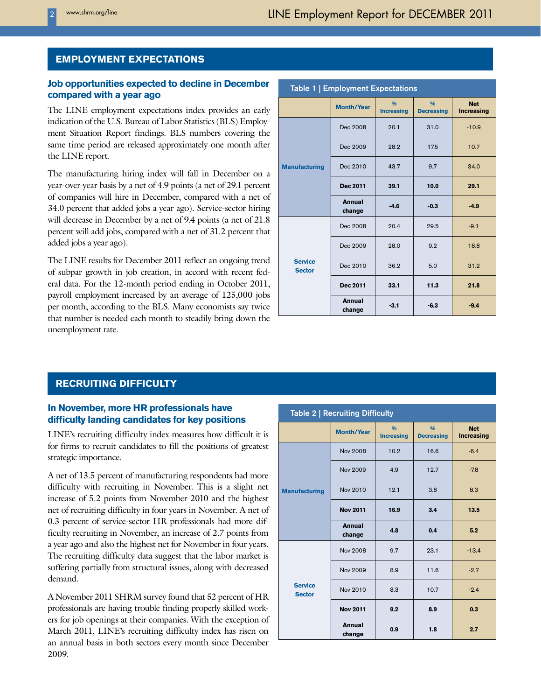# **EMPLOYMENT EXPECTATIONS**

## **Job opportunities expected to decline in December compared with a year ago**

The LINE employment expectations index provides an early indication of the U.S. Bureau of Labor Statistics (BLS) Employment Situation Report findings. BLS numbers covering the same time period are released approximately one month after the LINE report.

The manufacturing hiring index will fall in December on a year-over-year basis by a net of 4.9 points (a net of 29.1 percent of companies will hire in December, compared with a net of 34.0 percent that added jobs a year ago). Service-sector hiring will decrease in December by a net of 9.4 points (a net of 21.8 percent will add jobs, compared with a net of 31.2 percent that added jobs a year ago).

The LINE results for December 2011 reflect an ongoing trend of subpar growth in job creation, in accord with recent federal data. For the 12-month period ending in October 2011, payroll employment increased by an average of 125,000 jobs per month, according to the BLS. Many economists say twice that number is needed each month to steadily bring down the unemployment rate.

| Table 1   Employment Expectations |                         |                                    |                                    |                                 |
|-----------------------------------|-------------------------|------------------------------------|------------------------------------|---------------------------------|
|                                   | <b>Month/Year</b>       | $\frac{0}{0}$<br><b>Increasing</b> | $\frac{0}{0}$<br><b>Decreasing</b> | <b>Net</b><br><b>Increasing</b> |
| <b>Manufacturing</b>              | Dec 2008                | 20.1                               | 31.0                               | $-10.9$                         |
|                                   | Dec 2009                | 28.2                               | 17.5                               | 10.7                            |
|                                   | Dec 2010                | 43.7                               | 9.7                                | 34.0                            |
|                                   | Dec 2011                | 39.1                               | 10.0                               | 29.1                            |
|                                   | <b>Annual</b><br>change | $-4.6$                             | $-0.3$                             | $-4.9$                          |
| <b>Service</b><br><b>Sector</b>   | Dec 2008                | 20.4                               | 29.5                               | $-9.1$                          |
|                                   | Dec 2009                | 28.0                               | 9.2                                | 18.8                            |
|                                   | Dec 2010                | 36.2                               | 5.0                                | 31.2                            |
|                                   | Dec 2011                | 33.1                               | 11.3                               | 21.8                            |
|                                   | <b>Annual</b><br>change | $-3.1$                             | $-6.3$                             | $-9.4$                          |

# **RECRUITING DIFFICULTY**

#### **In November, more HR professionals have difficulty landing candidates for key positions**

LINE's recruiting difficulty index measures how difficult it is for firms to recruit candidates to fill the positions of greatest strategic importance.

A net of 13.5 percent of manufacturing respondents had more difficulty with recruiting in November. This is a slight net increase of 5.2 points from November 2010 and the highest net of recruiting difficulty in four years in November. A net of 0.3 percent of service-sector HR professionals had more difficulty recruiting in November, an increase of 2.7 points from a year ago and also the highest net for November in four years. The recruiting difficulty data suggest that the labor market is suffering partially from structural issues, along with decreased demand.

A November 2011 SHRM survey found that 52 percent of HR professionals are having trouble finding properly skilled workers for job openings at their companies. With the exception of March 2011, LINE's recruiting difficulty index has risen on an annual basis in both sectors every month since December 2009.

| Table 2   Recruiting Difficulty |                         |                                    |                                    |                                 |
|---------------------------------|-------------------------|------------------------------------|------------------------------------|---------------------------------|
|                                 | <b>Month/Year</b>       | $\frac{0}{0}$<br><b>Increasing</b> | $\frac{0}{0}$<br><b>Decreasing</b> | <b>Net</b><br><b>Increasing</b> |
| <b>Manufacturing</b>            | Nov 2008                | 10.2                               | 16.6                               | $-6.4$                          |
|                                 | Nov 2009                | 4.9                                | 12.7                               | $-7.8$                          |
|                                 | Nov 2010                | 12.1                               | 3.8                                | 8.3                             |
|                                 | <b>Nov 2011</b>         | 16.9                               | 3.4                                | 13.5                            |
|                                 | <b>Annual</b><br>change | 4.8                                | 0.4                                | 5.2                             |
| <b>Service</b><br><b>Sector</b> | Nov 2008                | 9.7                                | 23.1                               | $-13.4$                         |
|                                 | Nov 2009                | 8.9                                | 11.6                               | $-2.7$                          |
|                                 | Nov 2010                | 8.3                                | 10.7                               | $-2.4$                          |
|                                 | <b>Nov 2011</b>         | 9.2                                | 8.9                                | 0.3                             |
|                                 | <b>Annual</b><br>change | 0.9                                | 1.8                                | 2.7                             |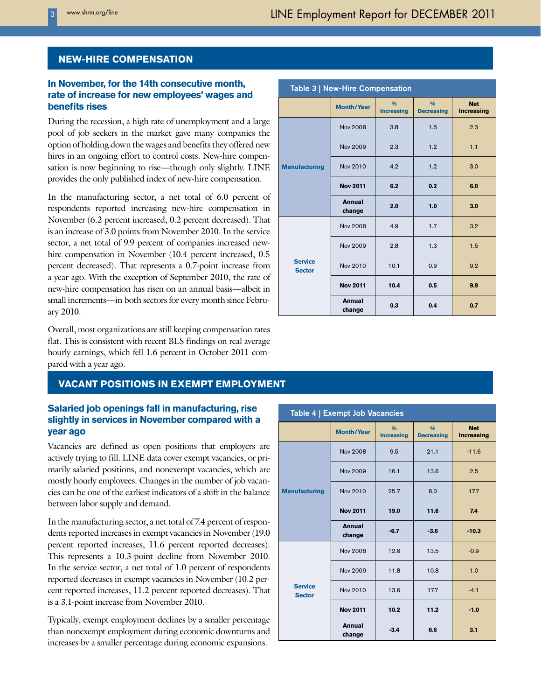# **NEW-HIRE COMPENSATION**

# **In November, for the 14th consecutive month, rate of increase for new employees' wages and benefits rises**

During the recession, a high rate of unemployment and a large pool of job seekers in the market gave many companies the option of holding down the wages and benefits they offered new hires in an ongoing effort to control costs. New-hire compensation is now beginning to rise—though only slightly. LINE provides the only published index of new-hire compensation.

In the manufacturing sector, a net total of 6.0 percent of respondents reported increasing new-hire compensation in November (6.2 percent increased, 0.2 percent decreased). That is an increase of 3.0 points from November 2010. In the service sector, a net total of 9.9 percent of companies increased newhire compensation in November (10.4 percent increased, 0.5 percent decreased). That represents a 0.7-point increase from a year ago. With the exception of September 2010, the rate of new-hire compensation has risen on an annual basis—albeit in small increments—in both sectors for every month since February 2010.

Overall, most organizations are still keeping compensation rates flat. This is consistent with recent BLS findings on real average hourly earnings, which fell 1.6 percent in October 2011 compared with a year ago.

# **VACANT POSITIONS IN EXEMPT EMPLOYMENT**

### **Salaried job openings fall in manufacturing, rise slightly in services in November compared with a year ago**

Vacancies are defined as open positions that employers are actively trying to fill. LINE data cover exempt vacancies, or primarily salaried positions, and nonexempt vacancies, which are mostly hourly employees. Changes in the number of job vacancies can be one of the earliest indicators of a shift in the balance between labor supply and demand.

In the manufacturing sector, a net total of 7.4 percent of respondents reported increases in exempt vacancies in November (19.0 percent reported increases, 11.6 percent reported decreases). This represents a 10.3-point decline from November 2010. In the service sector, a net total of 1.0 percent of respondents reported decreases in exempt vacancies in November (10.2 percent reported increases, 11.2 percent reported decreases). That is a 3.1-point increase from November 2010.

Typically, exempt employment declines by a smaller percentage than nonexempt employment during economic downturns and increases by a smaller percentage during economic expansions.

| Table 3   New-Hire Compensation |                   |                                    |                                    |                                 |
|---------------------------------|-------------------|------------------------------------|------------------------------------|---------------------------------|
|                                 | <b>Month/Year</b> | $\frac{0}{0}$<br><b>Increasing</b> | $\frac{0}{0}$<br><b>Decreasing</b> | <b>Net</b><br><b>Increasing</b> |
| <b>Manufacturing</b>            | <b>Nov 2008</b>   | 3.8                                | 1.5                                | 2.3                             |
|                                 | <b>Nov 2009</b>   | 2.3                                | 1.2                                | 1.1                             |
|                                 | <b>Nov 2010</b>   | 4.2                                | 1.2                                | 3.0                             |
|                                 | <b>Nov 2011</b>   | 6.2                                | 0.2                                | 6.0                             |
|                                 | Annual<br>change  | 2.0                                | 1.0                                | 3.0                             |
| <b>Service</b><br><b>Sector</b> | <b>Nov 2008</b>   | 4.9                                | 1.7                                | 3.2                             |
|                                 | Nov 2009          | 2.8                                | 1.3                                | 1.5                             |
|                                 | Nov 2010          | 10.1                               | 0.9                                | 9.2                             |
|                                 | <b>Nov 2011</b>   | 10.4                               | 0.5                                | 9.9                             |
|                                 | Annual<br>change  | 0.3                                | 0.4                                | 0.7                             |

| Table 4   Exempt Job Vacancies  |                         |                                    |                                    |                                 |
|---------------------------------|-------------------------|------------------------------------|------------------------------------|---------------------------------|
|                                 | <b>Month/Year</b>       | $\frac{0}{0}$<br><b>Increasing</b> | $\frac{0}{0}$<br><b>Decreasing</b> | <b>Net</b><br><b>Increasing</b> |
| <b>Manufacturing</b>            | Nov 2008                | 9.5                                | 21.1                               | $-11.6$                         |
|                                 | Nov 2009                | 16.1                               | 13.6                               | 2.5                             |
|                                 | Nov 2010                | 25.7                               | 8.0                                | 17.7                            |
|                                 | <b>Nov 2011</b>         | 19.0                               | 11.6                               | 7.4                             |
|                                 | <b>Annual</b><br>change | $-6.7$                             | $-3.6$                             | $-10.3$                         |
| <b>Service</b><br><b>Sector</b> | Nov 2008                | 12.6                               | 13.5                               | $-0.9$                          |
|                                 | Nov 2009                | 11.8                               | 10.8                               | 1.0                             |
|                                 | Nov 2010                | 13.6                               | 17.7                               | $-4.1$                          |
|                                 | <b>Nov 2011</b>         | 10.2                               | 11.2                               | $-1.0$                          |
|                                 | <b>Annual</b><br>change | $-3.4$                             | 6.6                                | 3.1                             |